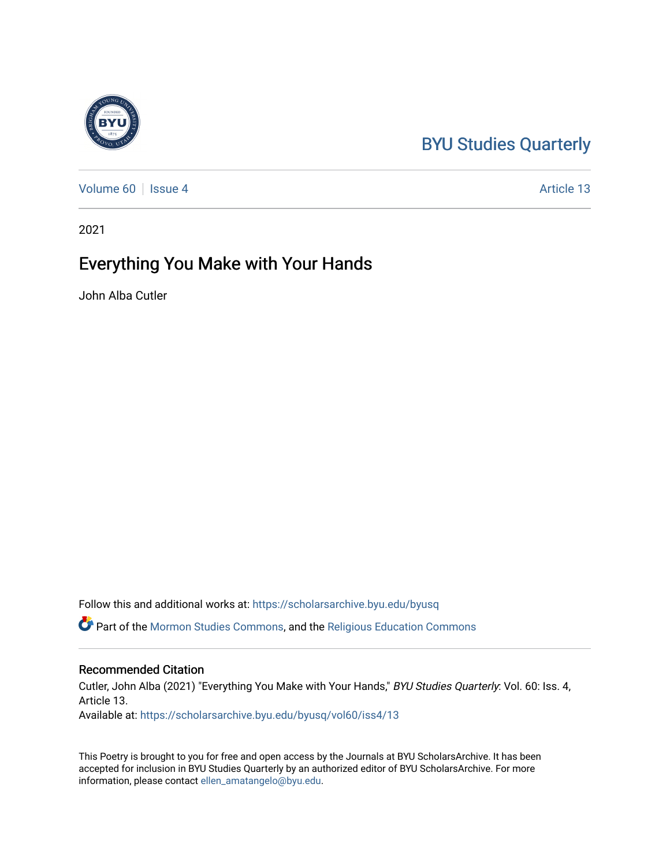## [BYU Studies Quarterly](https://scholarsarchive.byu.edu/byusq)

[Volume 60](https://scholarsarchive.byu.edu/byusq/vol60) | [Issue 4](https://scholarsarchive.byu.edu/byusq/vol60/iss4) Article 13

2021

## Everything You Make with Your Hands

John Alba Cutler

Follow this and additional works at: [https://scholarsarchive.byu.edu/byusq](https://scholarsarchive.byu.edu/byusq?utm_source=scholarsarchive.byu.edu%2Fbyusq%2Fvol60%2Fiss4%2F13&utm_medium=PDF&utm_campaign=PDFCoverPages) 

Part of the [Mormon Studies Commons](http://network.bepress.com/hgg/discipline/1360?utm_source=scholarsarchive.byu.edu%2Fbyusq%2Fvol60%2Fiss4%2F13&utm_medium=PDF&utm_campaign=PDFCoverPages), and the [Religious Education Commons](http://network.bepress.com/hgg/discipline/1414?utm_source=scholarsarchive.byu.edu%2Fbyusq%2Fvol60%2Fiss4%2F13&utm_medium=PDF&utm_campaign=PDFCoverPages) 

## Recommended Citation

Cutler, John Alba (2021) "Everything You Make with Your Hands," BYU Studies Quarterly: Vol. 60: Iss. 4, Article 13.

Available at: [https://scholarsarchive.byu.edu/byusq/vol60/iss4/13](https://scholarsarchive.byu.edu/byusq/vol60/iss4/13?utm_source=scholarsarchive.byu.edu%2Fbyusq%2Fvol60%2Fiss4%2F13&utm_medium=PDF&utm_campaign=PDFCoverPages) 

This Poetry is brought to you for free and open access by the Journals at BYU ScholarsArchive. It has been accepted for inclusion in BYU Studies Quarterly by an authorized editor of BYU ScholarsArchive. For more information, please contact [ellen\\_amatangelo@byu.edu.](mailto:ellen_amatangelo@byu.edu)